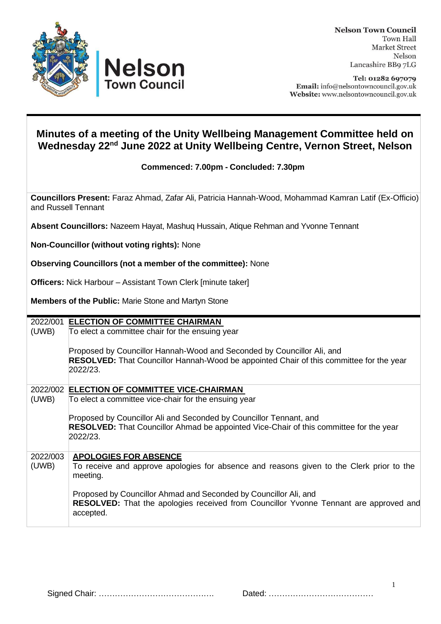



Tel: 01282 697079 Email: info@nelsontowncouncil.gov.uk Website: www.nelsontowncouncil.gov.uk

## **Minutes of a meeting of the Unity Wellbeing Management Committee held on Wednesday 22 nd June 2022 at Unity Wellbeing Centre, Vernon Street, Nelson**

**Commenced: 7.00pm - Concluded: 7.30pm**

**Councillors Present:** Faraz Ahmad, Zafar Ali, Patricia Hannah-Wood, Mohammad Kamran Latif (Ex-Officio) and Russell Tennant

**Absent Councillors:** Nazeem Hayat, Mashuq Hussain, Atique Rehman and Yvonne Tennant

**Non-Councillor (without voting rights):** None

**Observing Councillors (not a member of the committee):** None

vn Council

**Officers:** Nick Harbour – Assistant Town Clerk [minute taker]

**Members of the Public:** Marie Stone and Martyn Stone

| 2022/001 | <b>ELECTION OF COMMITTEE CHAIRMAN</b>                                                                                                                                           |
|----------|---------------------------------------------------------------------------------------------------------------------------------------------------------------------------------|
| (UWB)    | To elect a committee chair for the ensuing year                                                                                                                                 |
|          | Proposed by Councillor Hannah-Wood and Seconded by Councillor Ali, and<br>RESOLVED: That Councillor Hannah-Wood be appointed Chair of this committee for the year<br>2022/23.   |
|          | 2022/002 ELECTION OF COMMITTEE VICE-CHAIRMAN                                                                                                                                    |
| (UWB)    | To elect a committee vice-chair for the ensuing year                                                                                                                            |
|          | Proposed by Councillor Ali and Seconded by Councillor Tennant, and<br><b>RESOLVED:</b> That Councillor Ahmad be appointed Vice-Chair of this committee for the year<br>2022/23. |
| 2022/003 | <b>APOLOGIES FOR ABSENCE</b>                                                                                                                                                    |
| (UWB)    | To receive and approve apologies for absence and reasons given to the Clerk prior to the<br>meeting.                                                                            |
|          | Proposed by Councillor Ahmad and Seconded by Councillor Ali, and<br><b>RESOLVED:</b> That the apologies received from Councillor Yvonne Tennant are approved and<br>accepted.   |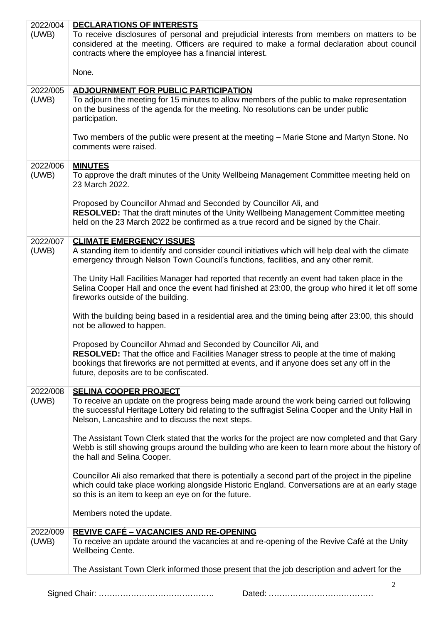| 2022/004 | DECLARATIONS OF INTERESTS                                                                                                                                                                                                                                     |
|----------|---------------------------------------------------------------------------------------------------------------------------------------------------------------------------------------------------------------------------------------------------------------|
| (UWB)    | To receive disclosures of personal and prejudicial interests from members on matters to be<br>considered at the meeting. Officers are required to make a formal declaration about council                                                                     |
|          | contracts where the employee has a financial interest.                                                                                                                                                                                                        |
|          | None.                                                                                                                                                                                                                                                         |
| 2022/005 | <b>ADJOURNMENT FOR PUBLIC PARTICIPATION</b>                                                                                                                                                                                                                   |
| (UWB)    | To adjourn the meeting for 15 minutes to allow members of the public to make representation<br>on the business of the agenda for the meeting. No resolutions can be under public<br>participation.                                                            |
|          | Two members of the public were present at the meeting – Marie Stone and Martyn Stone. No<br>comments were raised.                                                                                                                                             |
| 2022/006 | <b>MINUTES</b>                                                                                                                                                                                                                                                |
| (UWB)    | To approve the draft minutes of the Unity Wellbeing Management Committee meeting held on<br>23 March 2022.                                                                                                                                                    |
|          | Proposed by Councillor Ahmad and Seconded by Councillor Ali, and                                                                                                                                                                                              |
|          | <b>RESOLVED:</b> That the draft minutes of the Unity Wellbeing Management Committee meeting<br>held on the 23 March 2022 be confirmed as a true record and be signed by the Chair.                                                                            |
| 2022/007 | <b>CLIMATE EMERGENCY ISSUES</b>                                                                                                                                                                                                                               |
| (UWB)    | A standing item to identify and consider council initiatives which will help deal with the climate<br>emergency through Nelson Town Council's functions, facilities, and any other remit.                                                                     |
|          | The Unity Hall Facilities Manager had reported that recently an event had taken place in the                                                                                                                                                                  |
|          | Selina Cooper Hall and once the event had finished at 23:00, the group who hired it let off some<br>fireworks outside of the building.                                                                                                                        |
|          | With the building being based in a residential area and the timing being after 23:00, this should<br>not be allowed to happen.                                                                                                                                |
|          | Proposed by Councillor Ahmad and Seconded by Councillor Ali, and                                                                                                                                                                                              |
|          | RESOLVED: That the office and Facilities Manager stress to people at the time of making<br>bookings that fireworks are not permitted at events, and if anyone does set any off in the<br>future, deposits are to be confiscated.                              |
| 2022/008 | <b>SELINA COOPER PROJECT</b>                                                                                                                                                                                                                                  |
| (UWB)    | To receive an update on the progress being made around the work being carried out following<br>the successful Heritage Lottery bid relating to the suffragist Selina Cooper and the Unity Hall in<br>Nelson, Lancashire and to discuss the next steps.        |
|          | The Assistant Town Clerk stated that the works for the project are now completed and that Gary<br>Webb is still showing groups around the building who are keen to learn more about the history of<br>the hall and Selina Cooper.                             |
|          | Councillor Ali also remarked that there is potentially a second part of the project in the pipeline<br>which could take place working alongside Historic England. Conversations are at an early stage<br>so this is an item to keep an eye on for the future. |
|          | Members noted the update.                                                                                                                                                                                                                                     |
| 2022/009 | <u>REVIVE CAFÉ – VACANCIES AND RE-OPENING</u>                                                                                                                                                                                                                 |
| (UWB)    | To receive an update around the vacancies at and re-opening of the Revive Café at the Unity<br><b>Wellbeing Cente.</b>                                                                                                                                        |
|          | The Assistant Town Clerk informed those present that the job description and advert for the                                                                                                                                                                   |